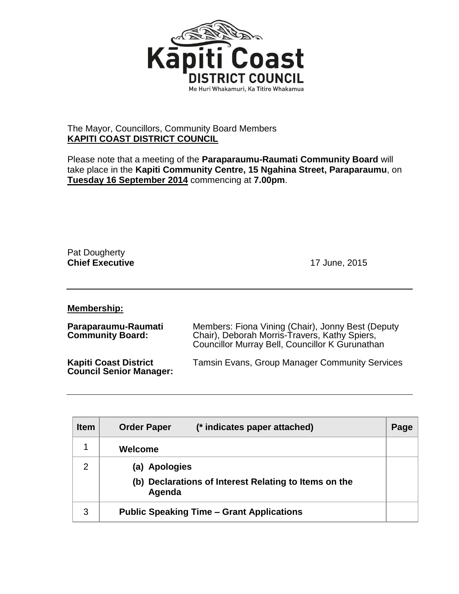

## The Mayor, Councillors, Community Board Members **KAPITI COAST DISTRICT COUNCIL**

Please note that a meeting of the **Paraparaumu-Raumati Community Board** will take place in the **Kapiti Community Centre, 15 Ngahina Street, Paraparaumu**, on **Tuesday 16 September 2014** commencing at **7.00pm**.

Pat Dougherty **Chief Executive** 17 June, 2015

**Membership:**

| Paraparaumu-Raumati<br><b>Community Board:</b>                 | Members: Fiona Vining (Chair), Jonny Best (Deputy<br>Chair), Deborah Morris-Travers, Kathy Spiers,<br>Councillor Murray Bell, Councillor K Gurunathan |
|----------------------------------------------------------------|-------------------------------------------------------------------------------------------------------------------------------------------------------|
| <b>Kapiti Coast District</b><br><b>Council Senior Manager:</b> | <b>Tamsin Evans, Group Manager Community Services</b>                                                                                                 |

| <b>Item</b>   | (* indicates paper attached)<br><b>Order Paper</b>              | Page |
|---------------|-----------------------------------------------------------------|------|
|               | Welcome                                                         |      |
| $\mathcal{P}$ | (a) Apologies                                                   |      |
|               | (b) Declarations of Interest Relating to Items on the<br>Agenda |      |
| 3             | <b>Public Speaking Time – Grant Applications</b>                |      |